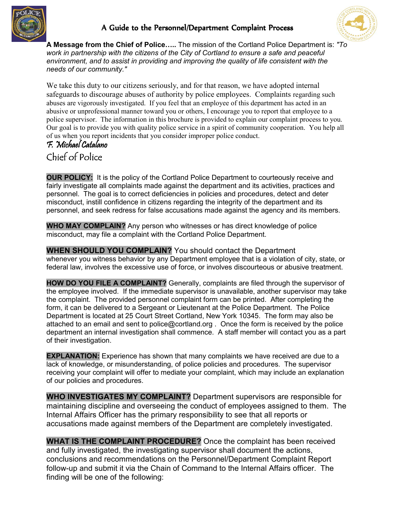

## A Guide to the Personnel/Department Complaint Process



**A Message from the Chief of Police…..** The mission of the Cortland Police Department is: *"To work in partnership with the citizens of the City of Cortland to ensure a safe and peaceful environment, and to assist in providing and improving the quality of life consistent with the needs of our community."* 

We take this duty to our citizens seriously, and for that reason, we have adopted internal safeguards to discourage abuses of authority by police employees. Complaints regarding such abuses are vigorously investigated. If you feel that an employee of this department has acted in an abusive or unprofessional manner toward you or others, I encourage you to report that employee to a police supervisor. The information in this brochure is provided to explain our complaint process to you. Our goal is to provide you with quality police service in a spirit of community cooperation. You help all of us when you report incidents that you consider improper police conduct.

## F. Michael Catalano Chief of Police

**OUR POLICY:** It is the policy of the Cortland Police Department to courteously receive and fairly investigate all complaints made against the department and its activities, practices and personnel. The goal is to correct deficiencies in policies and procedures, detect and deter misconduct, instill confidence in citizens regarding the integrity of the department and its personnel, and seek redress for false accusations made against the agency and its members.

**WHO MAY COMPLAIN?** Any person who witnesses or has direct knowledge of police misconduct, may file a complaint with the Cortland Police Department.

**WHEN SHOULD YOU COMPLAIN?** You should contact the Department whenever you witness behavior by any Department employee that is a violation of city, state, or federal law, involves the excessive use of force, or involves discourteous or abusive treatment.

**HOW DO YOU FILE A COMPLAINT?** Generally, complaints are filed through the supervisor of the employee involved. If the immediate supervisor is unavailable, another supervisor may take the complaint. The provided personnel complaint form can be printed. After completing the form, it can be delivered to a Sergeant or Lieutenant at the Police Department. The Police Department is located at 25 Court Street Cortland, New York 10345. The form may also be attached to an email and sent to police@cortland.org . Once the form is received by the police department an internal investigation shall commence. A staff member will contact you as a part of their investigation.

**EXPLANATION:** Experience has shown that many complaints we have received are due to a lack of knowledge, or misunderstanding, of police policies and procedures. The supervisor receiving your complaint will offer to mediate your complaint, which may include an explanation of our policies and procedures.

**WHO INVESTIGATES MY COMPLAINT?** Department supervisors are responsible for maintaining discipline and overseeing the conduct of employees assigned to them. The Internal Affairs Officer has the primary responsibility to see that all reports or accusations made against members of the Department are completely investigated.

**WHAT IS THE COMPLAINT PROCEDURE?** Once the complaint has been received and fully investigated, the investigating supervisor shall document the actions, conclusions and recommendations on the Personnel/Department Complaint Report follow-up and submit it via the Chain of Command to the Internal Affairs officer. The finding will be one of the following: